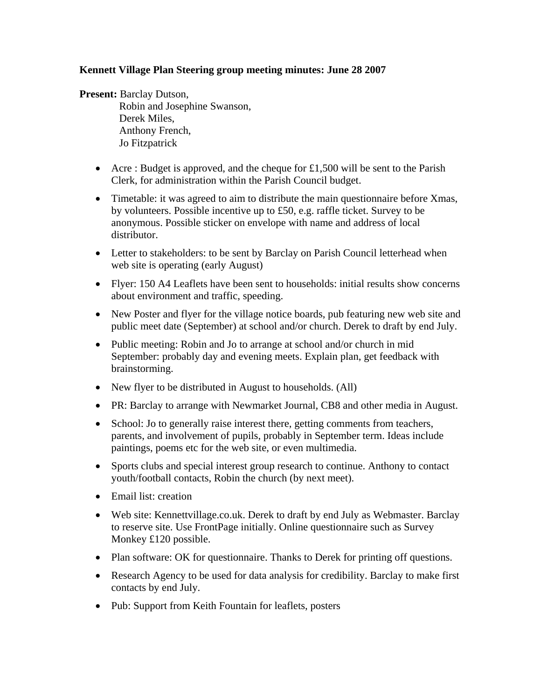## **Kennett Village Plan Steering group meeting minutes: June 28 2007**

**Present:** Barclay Dutson,

 Robin and Josephine Swanson, Derek Miles, Anthony French, Jo Fitzpatrick

- Acre : Budget is approved, and the cheque for  $\pounds1,500$  will be sent to the Parish Clerk, for administration within the Parish Council budget.
- Timetable: it was agreed to aim to distribute the main questionnaire before Xmas, by volunteers. Possible incentive up to £50, e.g. raffle ticket. Survey to be anonymous. Possible sticker on envelope with name and address of local distributor.
- Letter to stakeholders: to be sent by Barclay on Parish Council letterhead when web site is operating (early August)
- Flyer: 150 A4 Leaflets have been sent to households: initial results show concerns about environment and traffic, speeding.
- New Poster and flyer for the village notice boards, pub featuring new web site and public meet date (September) at school and/or church. Derek to draft by end July.
- Public meeting: Robin and Jo to arrange at school and/or church in mid September: probably day and evening meets. Explain plan, get feedback with brainstorming.
- New flyer to be distributed in August to households. (All)
- PR: Barclay to arrange with Newmarket Journal, CB8 and other media in August.
- School: Jo to generally raise interest there, getting comments from teachers, parents, and involvement of pupils, probably in September term. Ideas include paintings, poems etc for the web site, or even multimedia.
- Sports clubs and special interest group research to continue. Anthony to contact youth/football contacts, Robin the church (by next meet).
- Email list: creation
- Web site: Kennettvillage.co.uk. Derek to draft by end July as Webmaster. Barclay to reserve site. Use FrontPage initially. Online questionnaire such as Survey Monkey £120 possible.
- Plan software: OK for questionnaire. Thanks to Derek for printing off questions.
- Research Agency to be used for data analysis for credibility. Barclay to make first contacts by end July.
- Pub: Support from Keith Fountain for leaflets, posters